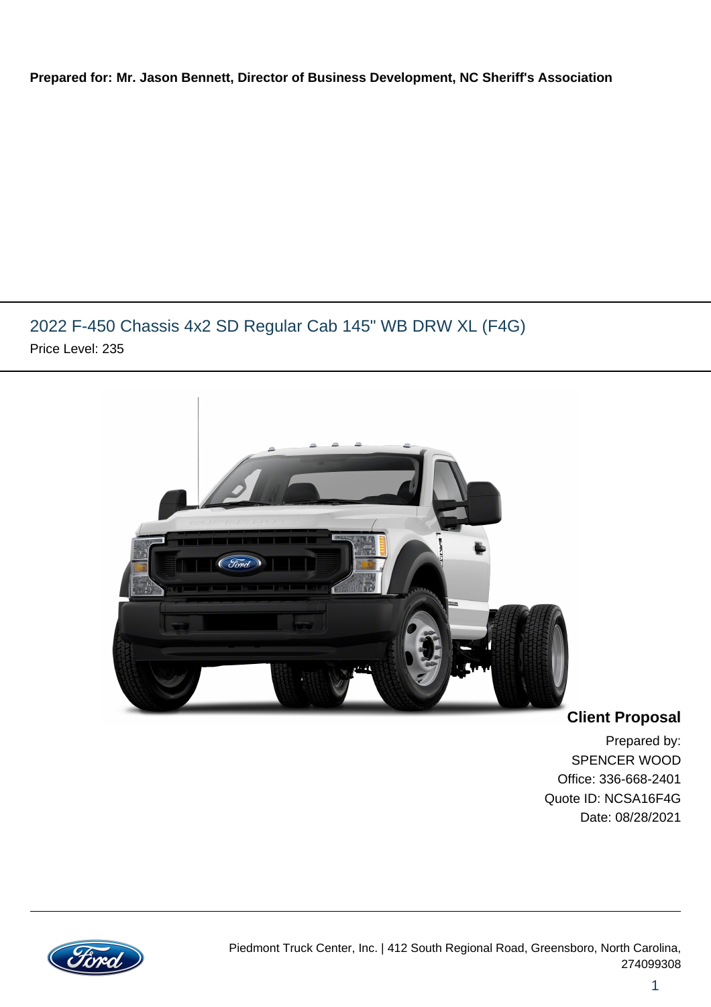### **Prepared for: Mr. Jason Bennett, Director of Business Development, NC Sheriff's Association**

## 2022 F-450 Chassis 4x2 SD Regular Cab 145" WB DRW XL (F4G) Price Level: 235



**Client Proposal**

Prepared by: SPENCER WOOD Office: 336-668-2401 Quote ID: NCSA16F4G Date: 08/28/2021

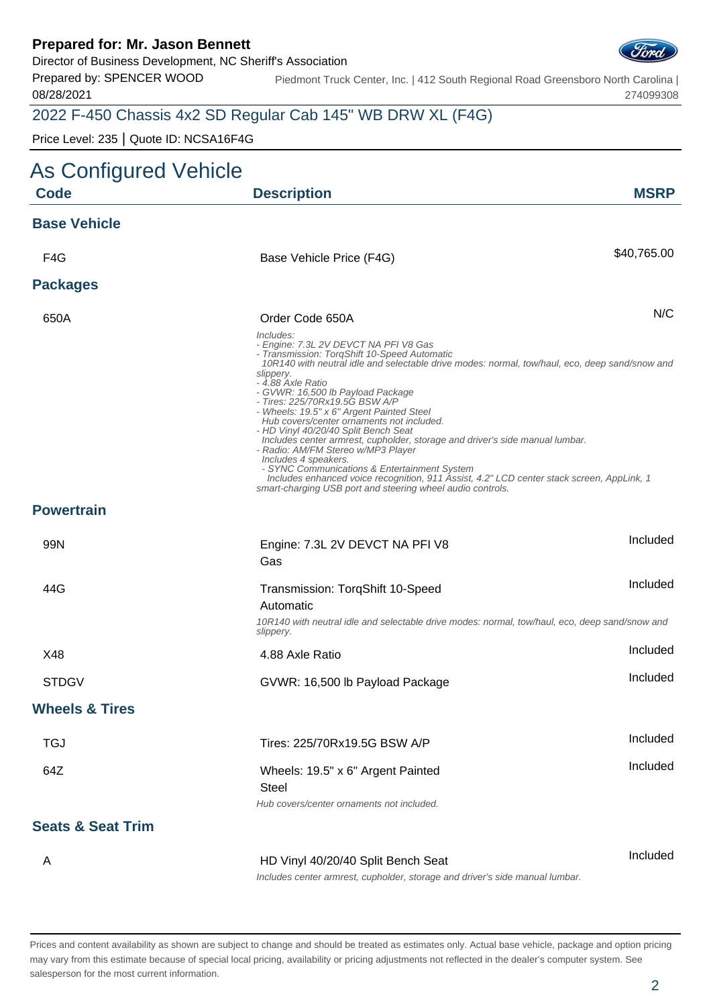Director of Business Development, NC Sheriff's Association

Prepared by: SPENCER WOOD 08/28/2021

Piedmont Truck Center, Inc. | 412 South Regional Road Greensboro North Carolina | 274099308

## 2022 F-450 Chassis 4x2 SD Regular Cab 145" WB DRW XL (F4G)

Price Level: 235 | Quote ID: NCSA16F4G

| As Configured Vehicle        |                                                                                                                                                                                                                                                                                                                                                                                                                                                                                                                                                                                                                                                                                                                                                                                                          |             |
|------------------------------|----------------------------------------------------------------------------------------------------------------------------------------------------------------------------------------------------------------------------------------------------------------------------------------------------------------------------------------------------------------------------------------------------------------------------------------------------------------------------------------------------------------------------------------------------------------------------------------------------------------------------------------------------------------------------------------------------------------------------------------------------------------------------------------------------------|-------------|
| <b>Code</b>                  | <b>Description</b>                                                                                                                                                                                                                                                                                                                                                                                                                                                                                                                                                                                                                                                                                                                                                                                       | <b>MSRP</b> |
| <b>Base Vehicle</b>          |                                                                                                                                                                                                                                                                                                                                                                                                                                                                                                                                                                                                                                                                                                                                                                                                          |             |
| F4G                          | Base Vehicle Price (F4G)                                                                                                                                                                                                                                                                                                                                                                                                                                                                                                                                                                                                                                                                                                                                                                                 | \$40,765.00 |
| <b>Packages</b>              |                                                                                                                                                                                                                                                                                                                                                                                                                                                                                                                                                                                                                                                                                                                                                                                                          |             |
| 650A                         | Order Code 650A                                                                                                                                                                                                                                                                                                                                                                                                                                                                                                                                                                                                                                                                                                                                                                                          | N/C         |
|                              | Includes:<br>- Engine: 7.3L 2V DEVCT NA PFI V8 Gas<br>- Transmission: TorqShift 10-Speed Automatic<br>10R140 with neutral idle and selectable drive modes: normal, tow/haul, eco, deep sand/snow and<br>slippery.<br>- 4.88 Axle Ratio<br>- GVWR: 16,500 lb Payload Package<br>- Tires: 225/70Rx19.5G BSW A/P<br>- Wheels: 19.5" x 6" Argent Painted Steel<br>Hub covers/center ornaments not included.<br>- HD Vinyl 40/20/40 Split Bench Seat<br>Includes center armrest, cupholder, storage and driver's side manual lumbar.<br>- Radio: AM/FM Stereo w/MP3 Player<br>Includes 4 speakers.<br>- SYNC Communications & Entertainment System<br>Includes enhanced voice recognition, 911 Assist, 4.2" LCD center stack screen, AppLink, 1<br>smart-charging USB port and steering wheel audio controls. |             |
| <b>Powertrain</b>            |                                                                                                                                                                                                                                                                                                                                                                                                                                                                                                                                                                                                                                                                                                                                                                                                          |             |
| 99N                          | Engine: 7.3L 2V DEVCT NA PFI V8<br>Gas                                                                                                                                                                                                                                                                                                                                                                                                                                                                                                                                                                                                                                                                                                                                                                   | Included    |
| 44G                          | Transmission: TorqShift 10-Speed<br>Automatic<br>10R140 with neutral idle and selectable drive modes: normal, tow/haul, eco, deep sand/snow and                                                                                                                                                                                                                                                                                                                                                                                                                                                                                                                                                                                                                                                          | Included    |
| X48                          | slippery.<br>4.88 Axle Ratio                                                                                                                                                                                                                                                                                                                                                                                                                                                                                                                                                                                                                                                                                                                                                                             | Included    |
| <b>STDGV</b>                 | GVWR: 16,500 lb Payload Package                                                                                                                                                                                                                                                                                                                                                                                                                                                                                                                                                                                                                                                                                                                                                                          | Included    |
| <b>Wheels &amp; Tires</b>    |                                                                                                                                                                                                                                                                                                                                                                                                                                                                                                                                                                                                                                                                                                                                                                                                          |             |
| <b>TGJ</b>                   | Tires: 225/70Rx19.5G BSW A/P                                                                                                                                                                                                                                                                                                                                                                                                                                                                                                                                                                                                                                                                                                                                                                             | Included    |
| 64Z                          | Wheels: 19.5" x 6" Argent Painted<br><b>Steel</b><br>Hub covers/center ornaments not included.                                                                                                                                                                                                                                                                                                                                                                                                                                                                                                                                                                                                                                                                                                           | Included    |
| <b>Seats &amp; Seat Trim</b> |                                                                                                                                                                                                                                                                                                                                                                                                                                                                                                                                                                                                                                                                                                                                                                                                          |             |
| A                            | HD Vinyl 40/20/40 Split Bench Seat<br>contar armroet, qupbolder, atorage and driverle aide monual lumbe                                                                                                                                                                                                                                                                                                                                                                                                                                                                                                                                                                                                                                                                                                  | Included    |

Includes center armrest, cupholder, storage and driver's side manual lumbar.

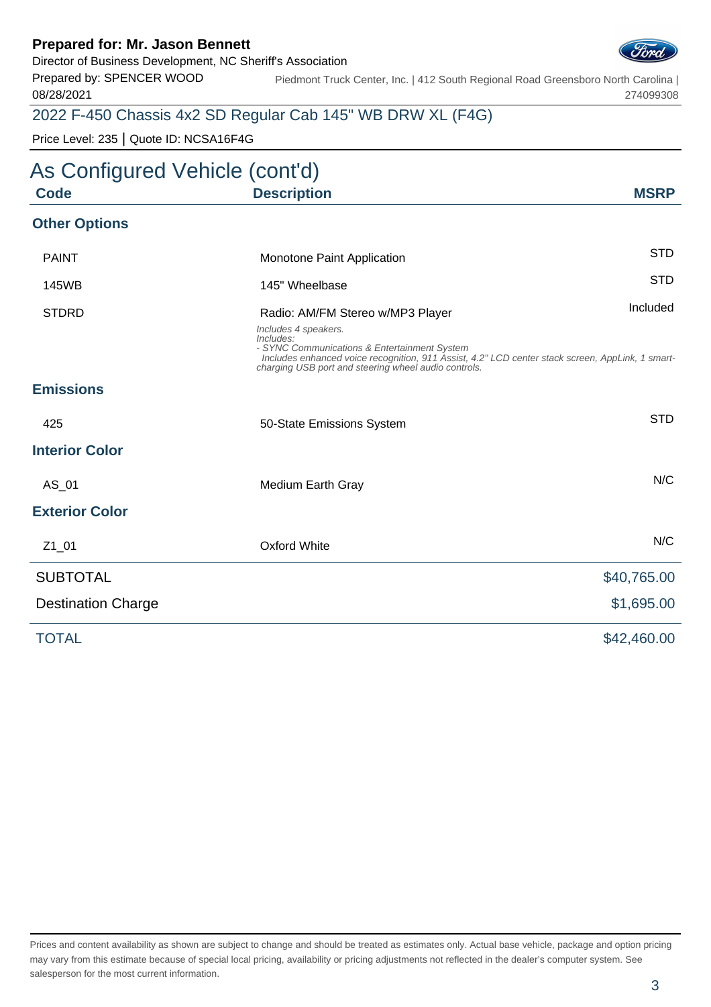Director of Business Development, NC Sheriff's Association

Prepared by: SPENCER WOOD

Piedmont Truck Center, Inc. | 412 South Regional Road Greensboro North Carolina | 274099308

## 2022 F-450 Chassis 4x2 SD Regular Cab 145" WB DRW XL (F4G)

Price Level: 235 | Quote ID: NCSA16F4G

08/28/2021

| As Configured Vehicle (cont'd) |                                                                                                                                                                                                                                               |             |
|--------------------------------|-----------------------------------------------------------------------------------------------------------------------------------------------------------------------------------------------------------------------------------------------|-------------|
| <b>Code</b>                    | <b>Description</b>                                                                                                                                                                                                                            | <b>MSRP</b> |
| <b>Other Options</b>           |                                                                                                                                                                                                                                               |             |
| <b>PAINT</b>                   | Monotone Paint Application                                                                                                                                                                                                                    | <b>STD</b>  |
| 145WB                          | 145" Wheelbase                                                                                                                                                                                                                                | <b>STD</b>  |
| <b>STDRD</b>                   | Radio: AM/FM Stereo w/MP3 Player                                                                                                                                                                                                              | Included    |
|                                | Includes 4 speakers.<br>Includes:<br>- SYNC Communications & Entertainment System<br>Includes enhanced voice recognition, 911 Assist, 4.2" LCD center stack screen, AppLink, 1 smart-<br>charging USB port and steering wheel audio controls. |             |
| <b>Emissions</b>               |                                                                                                                                                                                                                                               |             |
| 425                            | 50-State Emissions System                                                                                                                                                                                                                     | <b>STD</b>  |
| <b>Interior Color</b>          |                                                                                                                                                                                                                                               |             |
| AS_01                          | Medium Earth Gray                                                                                                                                                                                                                             | N/C         |
| <b>Exterior Color</b>          |                                                                                                                                                                                                                                               |             |
| $Z1_01$                        | <b>Oxford White</b>                                                                                                                                                                                                                           | N/C         |
| <b>SUBTOTAL</b>                |                                                                                                                                                                                                                                               | \$40,765.00 |
| <b>Destination Charge</b>      |                                                                                                                                                                                                                                               | \$1,695.00  |
| <b>TOTAL</b>                   |                                                                                                                                                                                                                                               | \$42,460.00 |

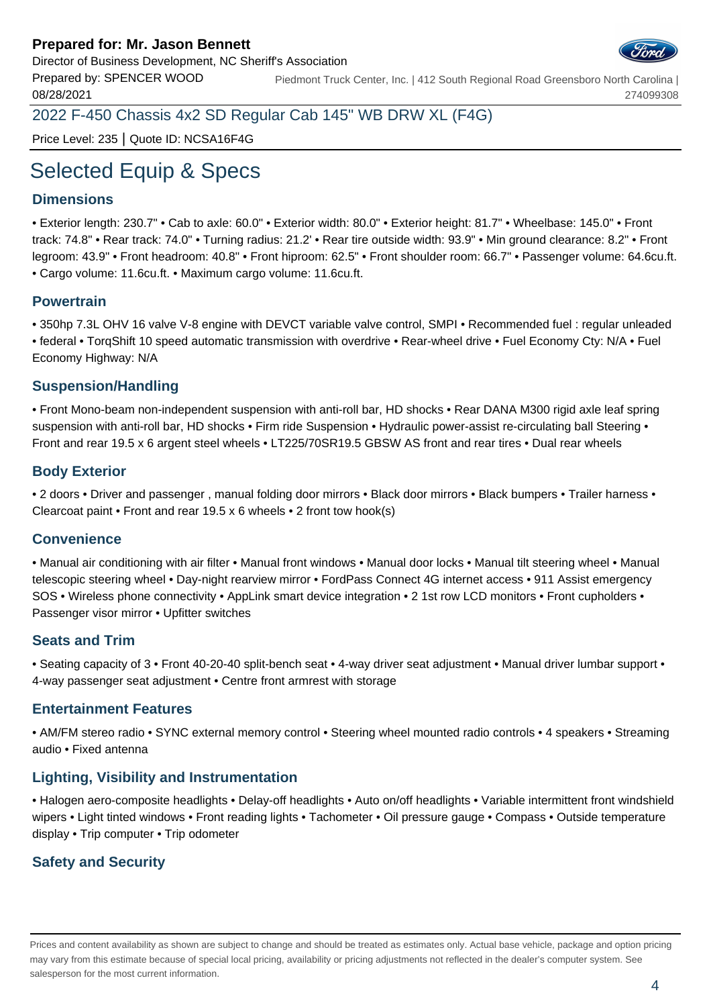

Prepared by: SPENCER WOOD 08/28/2021 Piedmont Truck Center, Inc. | 412 South Regional Road Greensboro North Carolina | 274099308

2022 F-450 Chassis 4x2 SD Regular Cab 145" WB DRW XL (F4G)

Price Level: 235 | Quote ID: NCSA16F4G

# Selected Equip & Specs

### **Dimensions**

• Exterior length: 230.7" • Cab to axle: 60.0" • Exterior width: 80.0" • Exterior height: 81.7" • Wheelbase: 145.0" • Front track: 74.8" • Rear track: 74.0" • Turning radius: 21.2' • Rear tire outside width: 93.9" • Min ground clearance: 8.2" • Front legroom: 43.9" • Front headroom: 40.8" • Front hiproom: 62.5" • Front shoulder room: 66.7" • Passenger volume: 64.6cu.ft. • Cargo volume: 11.6cu.ft. • Maximum cargo volume: 11.6cu.ft.

### **Powertrain**

• 350hp 7.3L OHV 16 valve V-8 engine with DEVCT variable valve control, SMPI • Recommended fuel : regular unleaded • federal • TorqShift 10 speed automatic transmission with overdrive • Rear-wheel drive • Fuel Economy Cty: N/A • Fuel Economy Highway: N/A

### **Suspension/Handling**

• Front Mono-beam non-independent suspension with anti-roll bar, HD shocks • Rear DANA M300 rigid axle leaf spring suspension with anti-roll bar, HD shocks • Firm ride Suspension • Hydraulic power-assist re-circulating ball Steering • Front and rear 19.5 x 6 argent steel wheels • LT225/70SR19.5 GBSW AS front and rear tires • Dual rear wheels

### **Body Exterior**

• 2 doors • Driver and passenger , manual folding door mirrors • Black door mirrors • Black bumpers • Trailer harness • Clearcoat paint • Front and rear 19.5 x 6 wheels • 2 front tow hook(s)

### **Convenience**

• Manual air conditioning with air filter • Manual front windows • Manual door locks • Manual tilt steering wheel • Manual telescopic steering wheel • Day-night rearview mirror • FordPass Connect 4G internet access • 911 Assist emergency SOS • Wireless phone connectivity • AppLink smart device integration • 2 1st row LCD monitors • Front cupholders • Passenger visor mirror • Upfitter switches

### **Seats and Trim**

• Seating capacity of 3 • Front 40-20-40 split-bench seat • 4-way driver seat adjustment • Manual driver lumbar support • 4-way passenger seat adjustment • Centre front armrest with storage

### **Entertainment Features**

• AM/FM stereo radio • SYNC external memory control • Steering wheel mounted radio controls • 4 speakers • Streaming audio • Fixed antenna

### **Lighting, Visibility and Instrumentation**

• Halogen aero-composite headlights • Delay-off headlights • Auto on/off headlights • Variable intermittent front windshield wipers • Light tinted windows • Front reading lights • Tachometer • Oil pressure gauge • Compass • Outside temperature display • Trip computer • Trip odometer

### **Safety and Security**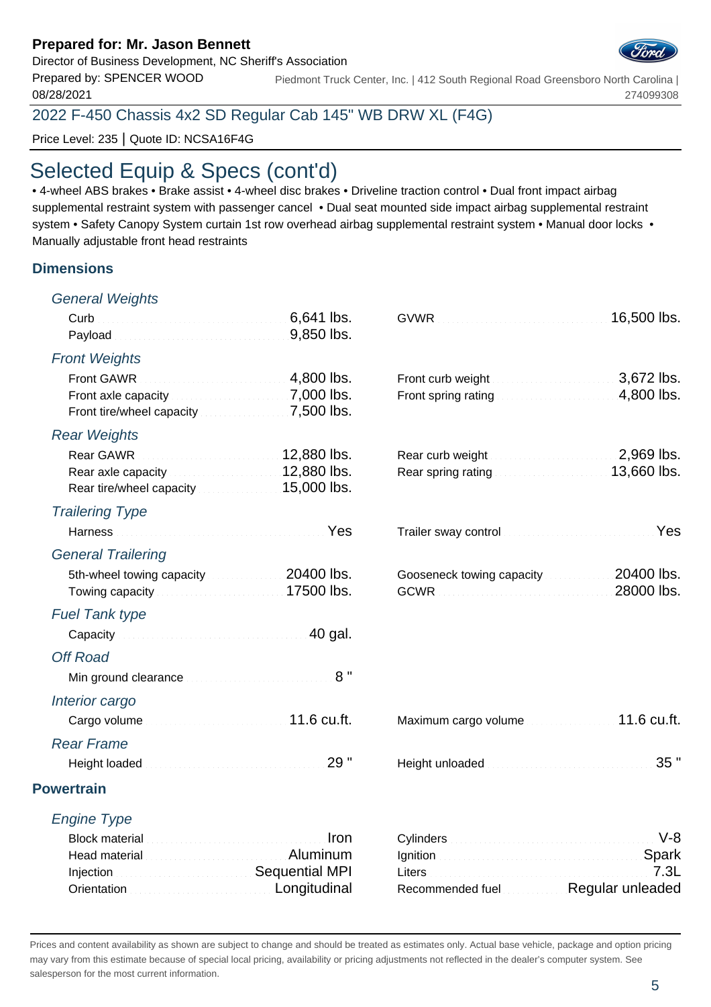Director of Business Development, NC Sheriff's Association

Prepared by: SPENCER WOOD 08/28/2021

Piedmont Truck Center, Inc. | 412 South Regional Road Greensboro North Carolina | 274099308

2022 F-450 Chassis 4x2 SD Regular Cab 145" WB DRW XL (F4G)

Price Level: 235 | Quote ID: NCSA16F4G

# Selected Equip & Specs (cont'd)

• 4-wheel ABS brakes • Brake assist • 4-wheel disc brakes • Driveline traction control • Dual front impact airbag supplemental restraint system with passenger cancel • Dual seat mounted side impact airbag supplemental restraint system • Safety Canopy System curtain 1st row overhead airbag supplemental restraint system • Manual door locks • Manually adjustable front head restraints

### **Dimensions**

| <b>General Weights</b>                                                                                                                                                                                                               |                                                                                                                                                                                                                                             |
|--------------------------------------------------------------------------------------------------------------------------------------------------------------------------------------------------------------------------------------|---------------------------------------------------------------------------------------------------------------------------------------------------------------------------------------------------------------------------------------------|
| Curb <b>Curb</b> 6,641 lbs.                                                                                                                                                                                                          | 16,500 lbs.                                                                                                                                                                                                                                 |
| Payload <b>Committee Committee Payload</b> Committee Committee Payload Ibs.                                                                                                                                                          |                                                                                                                                                                                                                                             |
| <b>Front Weights</b>                                                                                                                                                                                                                 |                                                                                                                                                                                                                                             |
|                                                                                                                                                                                                                                      | Front curb weight <b>Exercised South 2008</b> .                                                                                                                                                                                             |
| Front axle capacity <b>Exercise 2000</b> lbs.<br>Front tire/wheel capacity [19] [19] Tront tire/wheel capacity                                                                                                                       | Front spring rating <b>Exercise 200</b> lbs.                                                                                                                                                                                                |
|                                                                                                                                                                                                                                      |                                                                                                                                                                                                                                             |
| <b>Rear Weights</b><br><u>12,880 lbs.</u><br>Rear GAWR                                                                                                                                                                               | Rear curb weight <b>Exercise 2,969</b> lbs.                                                                                                                                                                                                 |
| Rear axle capacity <b>Constitution 12,880 lbs.</b>                                                                                                                                                                                   | Rear spring rating <b>Constitution Constructs</b> 13,660 lbs.                                                                                                                                                                               |
| Rear tire/wheel capacity <b>Constrainer 15,000 lbs.</b>                                                                                                                                                                              |                                                                                                                                                                                                                                             |
| <b>Trailering Type</b>                                                                                                                                                                                                               |                                                                                                                                                                                                                                             |
| Harness <b>Market Barnet Barnet Barnet Barnet Barnet Barnet Barnet Barnet Barnet Barnet Barnet Barnet Barnet Barnet Barnet Barnet Barnet Barnet Barnet Barnet Barnet Barnet Barnet Barnet Barnet Barnet Barnet Barnet Barnet Bar</b> | Trailer sway control <b>Constitution Constitution</b> Yes                                                                                                                                                                                   |
| <b>General Trailering</b>                                                                                                                                                                                                            |                                                                                                                                                                                                                                             |
| 5th-wheel towing capacity <b>Construction</b> 20400 lbs.                                                                                                                                                                             | Gooseneck towing capacity 20400 lbs.                                                                                                                                                                                                        |
| Towing capacity <b>Contract Contract Contract Contract Contract Contract Contract Contract Contract Contract Contract Contract Contract Contract Contract Contract Contract Contract Contract Contract Contract Contract Contrac</b> | 28000 lbs.                                                                                                                                                                                                                                  |
| <b>Fuel Tank type</b>                                                                                                                                                                                                                |                                                                                                                                                                                                                                             |
| Capacity Capacity Capacity Committee Capacity Committee Capacity Capacity Capacity Capacity Capacity Capacity C                                                                                                                      |                                                                                                                                                                                                                                             |
| <b>Off Road</b>                                                                                                                                                                                                                      |                                                                                                                                                                                                                                             |
| 8"<br>Min ground clearance manufacturers and containing                                                                                                                                                                              |                                                                                                                                                                                                                                             |
| Interior cargo                                                                                                                                                                                                                       |                                                                                                                                                                                                                                             |
| Cargo volume and all and all and all and 11.6 cu.ft.                                                                                                                                                                                 | Maximum cargo volume <b>contract to the COLSO</b> cu.ft.                                                                                                                                                                                    |
| <b>Rear Frame</b>                                                                                                                                                                                                                    |                                                                                                                                                                                                                                             |
| 29 "                                                                                                                                                                                                                                 | 35 "<br>Height unloaded <b>Manual Community</b> and the series of the series of the series of the series of the series of the series of the series of the series of the series of the series of the series of the series of the series of t |
| <b>Powertrain</b>                                                                                                                                                                                                                    |                                                                                                                                                                                                                                             |
| <b>Engine Type</b>                                                                                                                                                                                                                   |                                                                                                                                                                                                                                             |
| Block material communications and continuous<br>Iron                                                                                                                                                                                 | $V-8$                                                                                                                                                                                                                                       |
| Head material <b>Committee Committee Committee Committee Committee Committee Committee Committee Committee Committee</b>                                                                                                             | Ignition <b>Executive Contract Contract of Contract Contract Contract Contract Contract Contract Contract Contract Contract Contract Contract Contract Contract Contract Contract Contract Contract Contract Contract Contract C</b>        |
| Injection <b>Manual According to Sequential MPI</b>                                                                                                                                                                                  | 7.3L                                                                                                                                                                                                                                        |
| Orientation <b>Constitution Constitution Constitution</b>                                                                                                                                                                            | Recommended fuel Regular unleaded                                                                                                                                                                                                           |

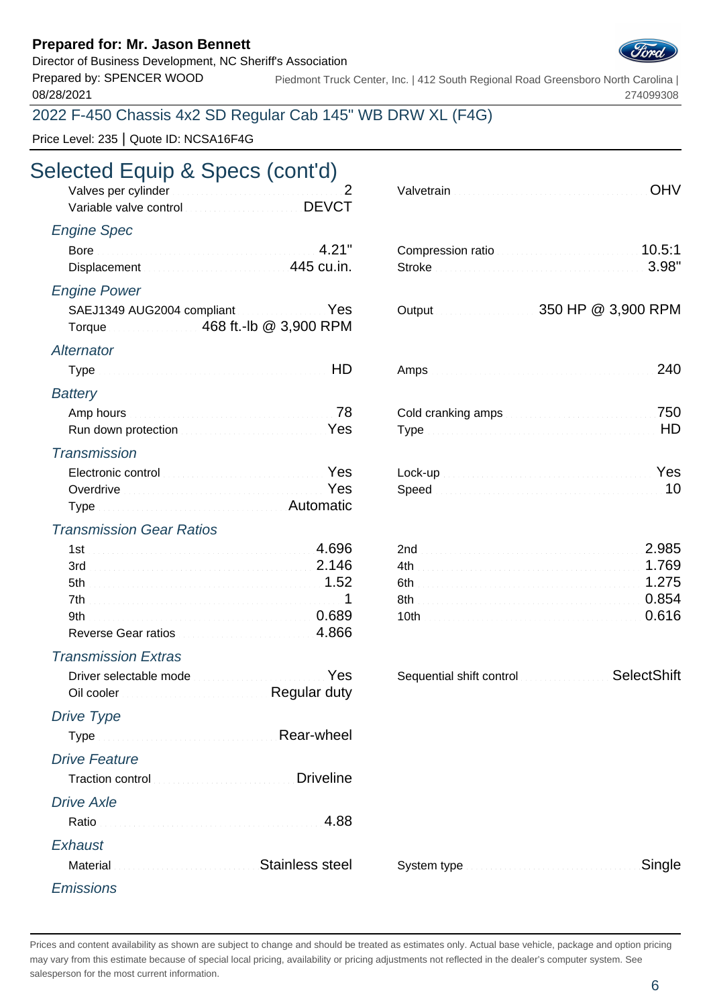### Director of Business Development, NC Sheriff's Association



Prepared by: SPENCER WOOD 08/28/2021 Piedmont Truck Center, Inc. | 412 South Regional Road Greensboro North Carolina | 274099308

### 2022 F-450 Chassis 4x2 SD Regular Cab 145" WB DRW XL (F4G)

Price Level: 235 | Quote ID: NCSA16F4G

# Selected Equip & Specs (cont'd)

| Valves per cylinder <b>Election Contract of August</b> 2<br>Variable valve control Marian Marian DEVCT                                                                                                                               | OHV                         |
|--------------------------------------------------------------------------------------------------------------------------------------------------------------------------------------------------------------------------------------|-----------------------------|
| <b>Engine Spec</b>                                                                                                                                                                                                                   |                             |
|                                                                                                                                                                                                                                      | 10.5:1<br>Compression ratio |
| Displacement <b>Committee Committee Committee Committee Committee Committee Committee Committee Committee Committee Committee Committee Committee Committee Committee Committee Committee Committee Committee Committee Committe</b> | 3.98"                       |
| <b>Engine Power</b>                                                                                                                                                                                                                  |                             |
| SAEJ1349 AUG2004 compliant Material Manuscript Yes<br>Torque 468 ft.-lb @ 3,900 RPM                                                                                                                                                  |                             |
| Alternator                                                                                                                                                                                                                           |                             |
|                                                                                                                                                                                                                                      | 240                         |
| <b>Battery</b>                                                                                                                                                                                                                       |                             |
|                                                                                                                                                                                                                                      | 750                         |
| Run down protection <b>Exercise Act of Protection</b> Pes                                                                                                                                                                            | HD                          |
| <b>Transmission</b>                                                                                                                                                                                                                  |                             |

| Electronic control Distribution of the Message Message of The Message State of the Message of The Message State of The Message State of the Message State of the Message State of the Message State of the Message State of th |  |  |
|--------------------------------------------------------------------------------------------------------------------------------------------------------------------------------------------------------------------------------|--|--|
| Overdrive <b>Constitution Constitution Constitution Yes</b>                                                                                                                                                                    |  |  |
|                                                                                                                                                                                                                                |  |  |

### Transmission Gear Ratios

| 3rd 2.146           |  |
|---------------------|--|
|                     |  |
|                     |  |
|                     |  |
| Reverse Gear ratios |  |

### Transmission Extras

| Yes<br>Oil cooler <b>Contains a Cooler Cooler Cooler Cooler</b> Cooler Cooler Cooler Cooler               | SelectShift           |
|-----------------------------------------------------------------------------------------------------------|-----------------------|
| Drive Type<br>Type <b>Manual Communication</b> Rear-wheel                                                 |                       |
| <b>Drive Feature</b><br>Traction control <b>Traction</b> Control <b>Traction</b> Control <b>Driveline</b> |                       |
| <b>Drive Axle</b><br>Ratio                                                                                |                       |
| Exhaust<br>Stainless steel<br>Material                                                                    | Single<br>System type |
| Emissions                                                                                                 |                       |

| Valvetrain Material Account of the United States of the United States and United States and United States and                                                                                                                                           |                    |
|---------------------------------------------------------------------------------------------------------------------------------------------------------------------------------------------------------------------------------------------------------|--------------------|
| Compression ratio<br>Stroke 3.98"                                                                                                                                                                                                                       |                    |
|                                                                                                                                                                                                                                                         | 350 HP @ 3,900 RPM |
| Amps 240                                                                                                                                                                                                                                                |                    |
| Cold cranking amps <b>Cold cranking</b> amps and contain a series of the <b>750</b>                                                                                                                                                                     |                    |
| Lock-up Nest President and Manual Account President Account President Account President Account Account President Account Account Account Account Account Account Account Account Account Account Account Account Account Acco<br>Speed <b>Speed 10</b> |                    |

| 1st  |  |  |
|------|--|--|
|      |  |  |
| 5th  |  |  |
| 7th- |  |  |
| 9th  |  |  |

| Sequential shift control | SelectShift |
|--------------------------|-------------|
|--------------------------|-------------|

| System type ______________________________Single |  |
|--------------------------------------------------|--|
|--------------------------------------------------|--|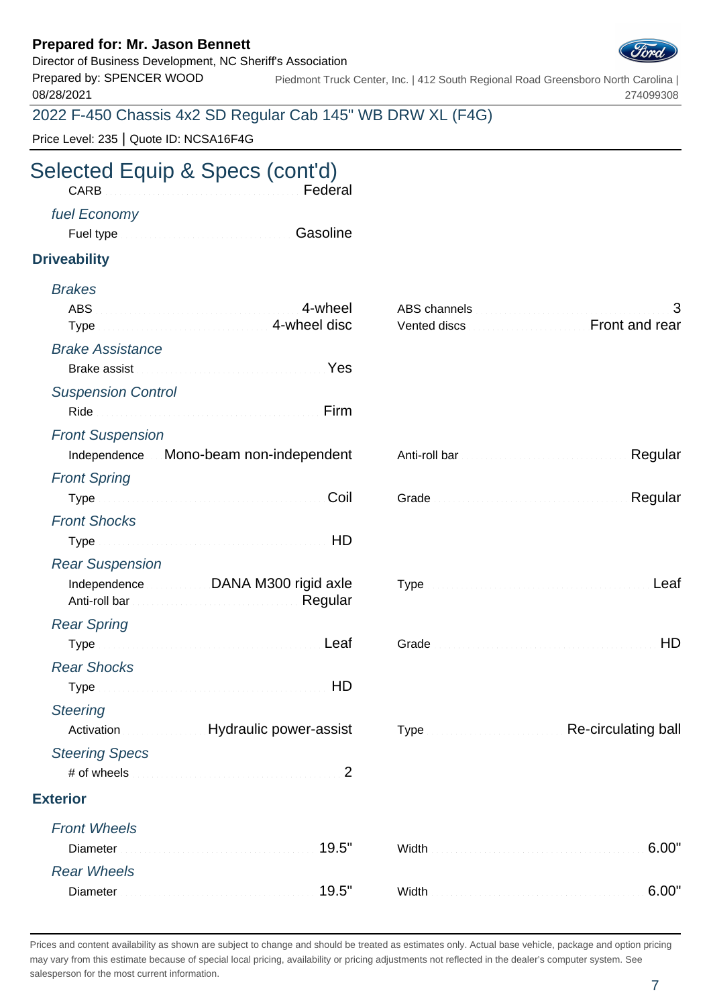Director of Business Development, NC Sheriff's Association

08/28/2021

Prepared by: SPENCER WOOD Piedmont Truck Center, Inc. | 412 South Regional Road Greensboro North Carolina | 274099308

2022 F-450 Chassis 4x2 SD Regular Cab 145" WB DRW XL (F4G)

Price Level: 235 | Quote ID: NCSA16F4G

# Selected Equip & Specs (cont'd)<br>CARB

**CARB Federal** fuel Economy Fuel type Gasoline Gasoline

### **Driveability**

| <b>Brakes</b>                                                                                                                                                                                                                  |                                                                                     |
|--------------------------------------------------------------------------------------------------------------------------------------------------------------------------------------------------------------------------------|-------------------------------------------------------------------------------------|
| 4-wheel<br><b>ABS</b>                                                                                                                                                                                                          | ABS channels <b>ABS</b> channels <b>ABS</b> channels <b>ABS</b> channels <b>ABS</b> |
| Type <i>manufacturers</i> and <b>100</b> and 14-wheel disc                                                                                                                                                                     | Vented discs <b>Front and rear</b>                                                  |
| <b>Brake Assistance</b>                                                                                                                                                                                                        |                                                                                     |
| Brake assist Material Account of the Message of the Message of the Message of the Message of the Message of the Message of the Message of the Message of the Message of the Message of the Message of the Message of the Messa |                                                                                     |
| <b>Suspension Control</b>                                                                                                                                                                                                      |                                                                                     |
|                                                                                                                                                                                                                                |                                                                                     |
| <b>Front Suspension</b>                                                                                                                                                                                                        |                                                                                     |
| Independence Mono-beam non-independent                                                                                                                                                                                         | Regular                                                                             |
| <b>Front Spring</b>                                                                                                                                                                                                            |                                                                                     |
| Coil                                                                                                                                                                                                                           | Regular                                                                             |
| <b>Front Shocks</b>                                                                                                                                                                                                            |                                                                                     |
| Type HD                                                                                                                                                                                                                        |                                                                                     |
| <b>Rear Suspension</b>                                                                                                                                                                                                         |                                                                                     |
| Independence DANA M300 rigid axle                                                                                                                                                                                              | Leaf                                                                                |
|                                                                                                                                                                                                                                |                                                                                     |
| <b>Rear Spring</b>                                                                                                                                                                                                             |                                                                                     |
|                                                                                                                                                                                                                                | HD                                                                                  |
| <b>Rear Shocks</b>                                                                                                                                                                                                             |                                                                                     |
|                                                                                                                                                                                                                                |                                                                                     |
| <b>Steering</b>                                                                                                                                                                                                                |                                                                                     |
| Activation <b>Activation Activation Activation Activation Activation Active Service Service Service Service Service Service Service Service Service Service Service Service Service Service Service Service Service Se</b>     | Type <b>Manufacturers</b> Re-circulating ball                                       |
| <b>Steering Specs</b>                                                                                                                                                                                                          |                                                                                     |
| $\mathcal{P}$                                                                                                                                                                                                                  |                                                                                     |
| <b>Exterior</b>                                                                                                                                                                                                                |                                                                                     |
| <b>Front Wheels</b>                                                                                                                                                                                                            |                                                                                     |
| Diameter Manual Communication of the 19.5"                                                                                                                                                                                     | 6.00"                                                                               |
| <b>Rear Wheels</b>                                                                                                                                                                                                             |                                                                                     |
| 19.5"                                                                                                                                                                                                                          | 6.00"                                                                               |
|                                                                                                                                                                                                                                |                                                                                     |

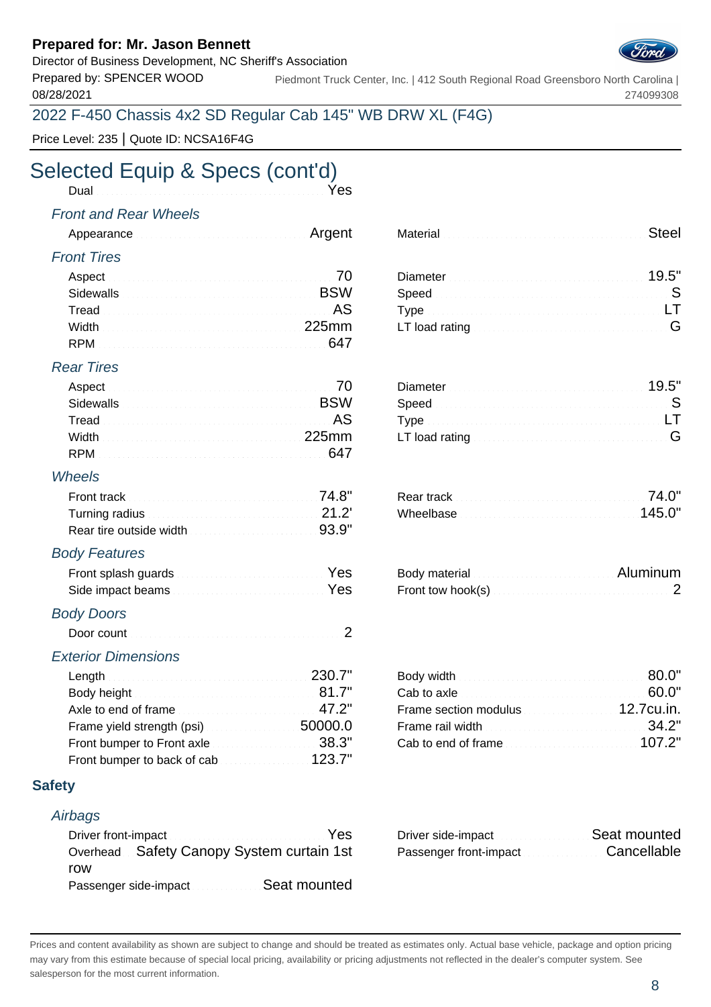Director of Business Development, NC Sheriff's Association

Prepared by: SPENCER WOOD 08/28/2021

Piedmont Truck Center, Inc. | 412 South Regional Road Greensboro North Carolina | 274099308

2022 F-450 Chassis 4x2 SD Regular Cab 145" WB DRW XL (F4G)

Price Level: 235 | Quote ID: NCSA16F4G

### Selected Equip & Specs (cont'd) Dual Yes

### Front and Rear Wheels

| Appearance and a continuum and a continuum Argent |          | Material Material Communications of the Steel |
|---------------------------------------------------|----------|-----------------------------------------------|
| <b>Front Tires</b>                                |          |                                               |
| Acnost                                            | Diamotor | 10 5"                                         |

| Tread <b>Executive Commission Commission</b> AS |  |  |
|-------------------------------------------------|--|--|
|                                                 |  |  |
|                                                 |  |  |

### Rear Tires

|                                        | Diameter 19.5" |  |
|----------------------------------------|----------------|--|
|                                        |                |  |
| Tread Research Communication of the AS |                |  |
|                                        |                |  |
|                                        |                |  |

### Wheels

| Front track <b>Executive Contract of Table 2018</b>                                                                                                                                                                                  |                                                     |  |
|--------------------------------------------------------------------------------------------------------------------------------------------------------------------------------------------------------------------------------------|-----------------------------------------------------|--|
| Turning radius <b>contract to the contract of the Contract of August</b> 21.2 <sup>'</sup>                                                                                                                                           | Wheelbase <b>Manual Manual According to 145.0</b> " |  |
| Rear tire outside width <b>Election Contract Contract Contract Contract Contract Contract Contract Contract Contract Contract Contract Contract Contract Contract Contract Contract Contract Contract Contract Contract Contract</b> |                                                     |  |

### Body Features

| Front splash guards <b>Example 20</b> Yes                    | Body material entrancement and all all Aluminum |  |
|--------------------------------------------------------------|-------------------------------------------------|--|
| Side impact beams <b>Election Contract Contract of Press</b> |                                                 |  |

### Body Doors

|--|

### Exterior Dimensions

|                                                             | Cab to axle <b>Exercise Cab</b> 60.0"                                       |  |
|-------------------------------------------------------------|-----------------------------------------------------------------------------|--|
| Axle to end of frame $\sim$ 47.2"                           | Frame section modulus <b>Example 2.7 CU.in</b>                              |  |
| Frame yield strength (psi) <b>Example 20000.0</b>           | Frame rail width <b>Exercise According to the State of According 34.2</b> " |  |
| Front bumper to Front axle <b>Election Controller 188.3</b> | Cab to end of frame                                                         |  |
| Front bumper to back of cab <b>contract to the 123.7</b> "  |                                                                             |  |

### **Safety**

#### **Airbags**

| Driver front-impact <b>Exercise Contains a Series</b> Yes |  |
|-----------------------------------------------------------|--|
| Overhead Safety Canopy System curtain 1st                 |  |
| row                                                       |  |
| Passenger side-impact Seat mounted                        |  |

| Material <b>Material According to the Community of Steel</b> |  |
|--------------------------------------------------------------|--|
|--------------------------------------------------------------|--|

| Diameter 19.5" |  |
|----------------|--|
|                |  |
|                |  |
|                |  |

| Front track with a substitution of the set of $74.8"$           |                                                     |  |
|-----------------------------------------------------------------|-----------------------------------------------------|--|
| Turning radius with a series of the contract of $21.2^{\prime}$ | Wheelbase Manual Manual Manual Manual Manual 145.0" |  |

| Body material <b>contract and a series and a series of the Body</b> | <b>Aluminum</b> |
|---------------------------------------------------------------------|-----------------|
| Front tow hook(s) with a substitution of $2$                        |                 |

| Body width <b>Exercise Construction of SO.O"</b>     |  |
|------------------------------------------------------|--|
| Cab to axle <b>Exercise Cab</b> 60.0"                |  |
| Frame section modulus <b>Constitution</b> 12.7cu.in. |  |
| Frame rail width <b>Exercise Community</b> 34.2"     |  |
| Cab to end of frame                                  |  |
|                                                      |  |

|                                            |                        | Seat mounted |
|--------------------------------------------|------------------------|--------------|
| Overhead. Safety Canopy System curtain 1st | Passenger front-impact | Cancellable  |

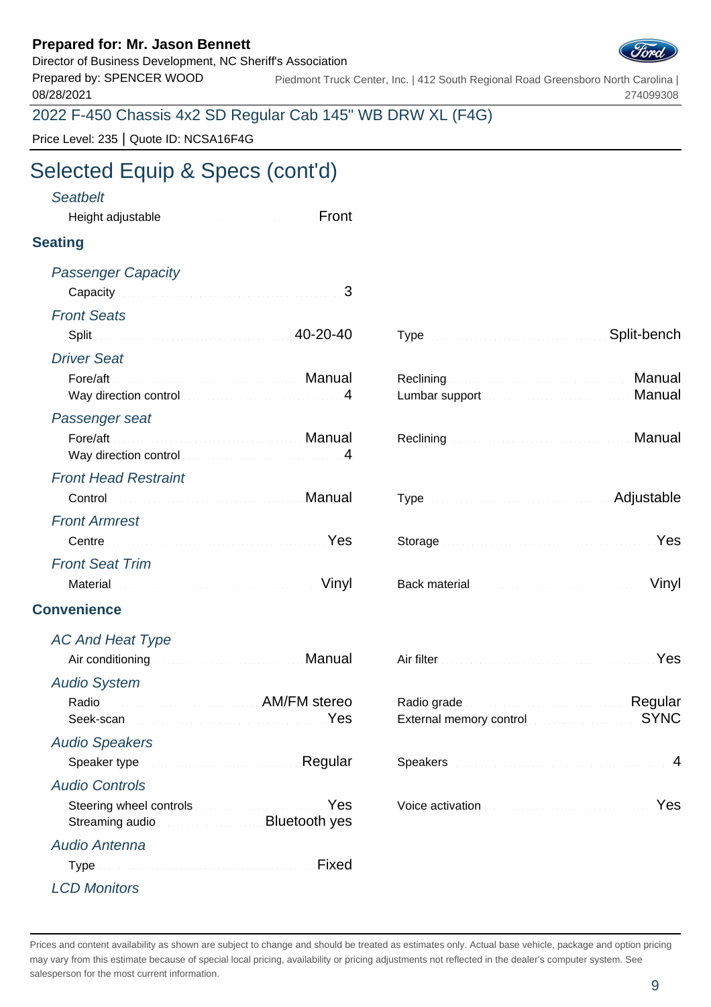Director of Business Development, NC Sheriff's Association

08/28/2021

Prepared by: SPENCER WOOD Piedmont Truck Center, Inc. | 412 South Regional Road Greensboro North Carolina | 274099308

2022 F-450 Chassis 4x2 SD Regular Cab 145" WB DRW XL (F4G)

Price Level: 235 | Quote ID: NCSA16F4G

# Selected Equip & Specs (cont'd)

| <b>Seatbelt</b> |                                                          |
|-----------------|----------------------------------------------------------|
|                 | Front<br>Height adjustable <b>Election Communication</b> |

## **Seating**

| <b>Passenger Capacity</b>                                                                                                                                                                  |                |
|--------------------------------------------------------------------------------------------------------------------------------------------------------------------------------------------|----------------|
|                                                                                                                                                                                            | З              |
| <b>Front Seats</b>                                                                                                                                                                         |                |
|                                                                                                                                                                                            | $40 - 20 - 40$ |
| <b>Driver Seat</b>                                                                                                                                                                         |                |
| Manual Manual Albert (1998) (1998) (1998) (1998) (1999) (1999) (1999) (1999) (1999) (1999) (1999) (1999) (1999)<br>Fore/aft                                                                |                |
| Way direction control measurement and the 4                                                                                                                                                |                |
| Passenger seat                                                                                                                                                                             |                |
| Fore/aft                                                                                                                                                                                   |                |
| Way direction control measurement and the 4                                                                                                                                                |                |
| <b>Front Head Restraint</b>                                                                                                                                                                |                |
| Control <b>Control Control Control Control Control Control Control Control Control Control Control Control Control Control Control Control Control Control Control Control Control Con</b> |                |
| <b>Front Armrest</b>                                                                                                                                                                       |                |
|                                                                                                                                                                                            | Yes            |
| <b>Front Seat Trim</b>                                                                                                                                                                     |                |
|                                                                                                                                                                                            | Vinyl          |
| <b>Convenience</b>                                                                                                                                                                         |                |

Streaming audio **Bluetooth** yes

Type Fixed

| Fore/aft <b>Commission Commission Commission Commission</b> Manual<br>Way direction control Manuel Allen Control 14 |                                                                                                               | Manual         |
|---------------------------------------------------------------------------------------------------------------------|---------------------------------------------------------------------------------------------------------------|----------------|
|                                                                                                                     |                                                                                                               |                |
|                                                                                                                     |                                                                                                               | Adjustable     |
|                                                                                                                     |                                                                                                               |                |
| Yes                                                                                                                 |                                                                                                               | Yes            |
|                                                                                                                     |                                                                                                               |                |
| Vinyl                                                                                                               | Back material material and continuum and the state of the state of the state of the state of the state of the | Vinyl          |
|                                                                                                                     |                                                                                                               |                |
|                                                                                                                     |                                                                                                               |                |
| Manual                                                                                                              |                                                                                                               | Yes            |
|                                                                                                                     |                                                                                                               |                |
| Radio <b>Martin Communication AM/FM</b> stereo                                                                      | Radio grade <b>Material Contract Contract Property</b> Regular                                                |                |
|                                                                                                                     | External memory control <b>External STRC</b>                                                                  |                |
|                                                                                                                     |                                                                                                               |                |
| Regular<br>Speaker type <b>Manual Communities</b>                                                                   |                                                                                                               | $\overline{4}$ |
|                                                                                                                     |                                                                                                               |                |
|                                                                                                                     | Manual                                                                                                        |                |

Type Split-bench

Reclining Manual Reclining Manual Reclining Manual Reclining Manual Reclining Manual Lumbar support Manual Albertin Control 4 Lumbar support Manual

# LCD Monitors

Audio Antenna

AC And Heat Type

Audio System

Audio Speakers

Audio Controls

Prices and content availability as shown are subject to change and should be treated as estimates only. Actual base vehicle, package and option pricing may vary from this estimate because of special local pricing, availability or pricing adjustments not reflected in the dealer's computer system. See salesperson for the most current information.

Steering wheel controls **Washing Controls Activity** Yes Voice activation **Washing Washing Washing Yes** 

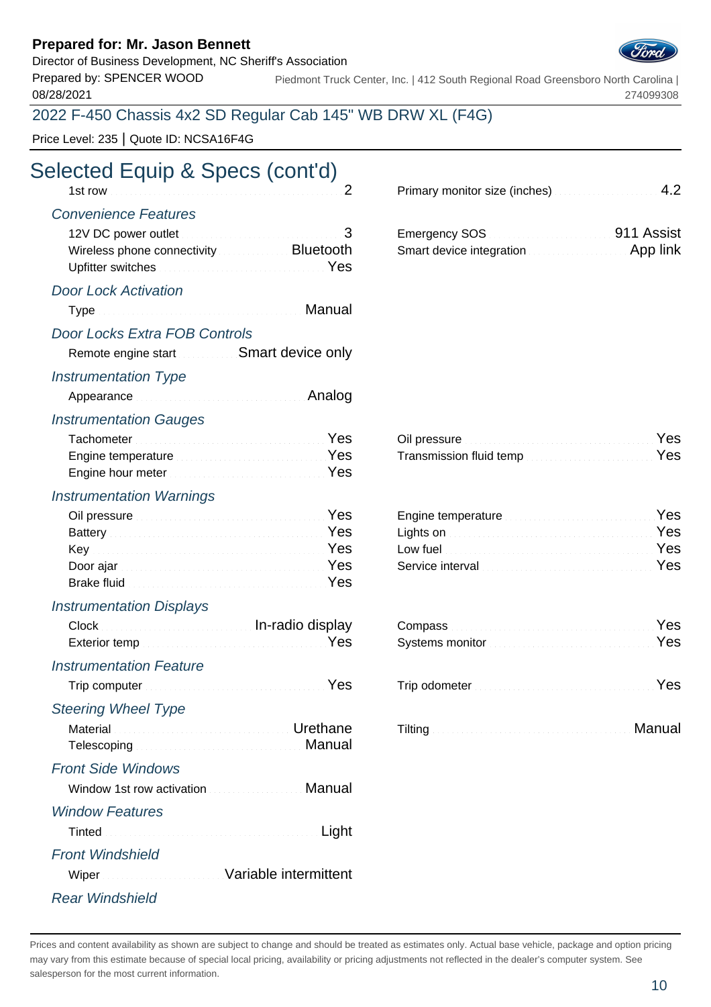Director of Business Development, NC Sheriff's Association

Prepared by: SPENCER WOOD 08/28/2021

Piedmont Truck Center, Inc. | 412 South Regional Road Greensboro North Carolina | 274099308

## 2022 F-450 Chassis 4x2 SD Regular Cab 145" WB DRW XL (F4G)

Price Level: 235 | Quote ID: NCSA16F4G

| Selected Equip & Specs (cont'd)<br>2                                                                                                                                                                                                                                                                       | Primary monitor size (inches)                                                                                                                                                                                                                                                                            | .4.2 |
|------------------------------------------------------------------------------------------------------------------------------------------------------------------------------------------------------------------------------------------------------------------------------------------------------------|----------------------------------------------------------------------------------------------------------------------------------------------------------------------------------------------------------------------------------------------------------------------------------------------------------|------|
| <b>Convenience Features</b>                                                                                                                                                                                                                                                                                |                                                                                                                                                                                                                                                                                                          |      |
| Wireless phone connectivity <b>Election Bluetooth</b><br>Upfitter switches <b>Committee Committee Committee Committee</b>                                                                                                                                                                                  | Emergency SOS <b>Contract Contract Contract Contract Contract Contract Contract Contract Contract Contract Contract Contract Contract Contract Contract Contract Contract Contract Contract Contract Contract Contract Contract </b><br>App link<br>Smart device integration                             |      |
| <b>Door Lock Activation</b>                                                                                                                                                                                                                                                                                |                                                                                                                                                                                                                                                                                                          |      |
| Manual                                                                                                                                                                                                                                                                                                     |                                                                                                                                                                                                                                                                                                          |      |
| Door Locks Extra FOB Controls                                                                                                                                                                                                                                                                              |                                                                                                                                                                                                                                                                                                          |      |
| Remote engine start <b>Smart device only</b>                                                                                                                                                                                                                                                               |                                                                                                                                                                                                                                                                                                          |      |
| <b>Instrumentation Type</b>                                                                                                                                                                                                                                                                                |                                                                                                                                                                                                                                                                                                          |      |
| Analog                                                                                                                                                                                                                                                                                                     |                                                                                                                                                                                                                                                                                                          |      |
| <b>Instrumentation Gauges</b>                                                                                                                                                                                                                                                                              |                                                                                                                                                                                                                                                                                                          |      |
| Tachometer Manual Communications of Pes                                                                                                                                                                                                                                                                    | Yes<br>Oil pressure <b>Election Communication</b>                                                                                                                                                                                                                                                        |      |
| Engine temperature <b>Engine Strategie Proprietation</b> Yes<br>Engine hour meter <b>Engine State of Tanahan American</b> Yes                                                                                                                                                                              | Transmission fluid temp [19] Manuscript Mess Mess                                                                                                                                                                                                                                                        |      |
| <b>Instrumentation Warnings</b>                                                                                                                                                                                                                                                                            |                                                                                                                                                                                                                                                                                                          |      |
| Oil pressure <b>Executive Community</b> Pes                                                                                                                                                                                                                                                                | Yes<br>Engine temperature manufacturers and containing                                                                                                                                                                                                                                                   |      |
| Battery Manual Communication of the Mess                                                                                                                                                                                                                                                                   | Lights on <b>Executive Contract Contract on the State of Tes</b><br>Low fuel <b>Executive Contract Contract Contract Contract Contract Contract Contract Contract Contract Contract Contract Contract Contract Contract Contract Contract Contract Contract Contract Contract Contract Contract Cont</b> |      |
| <b>Key Manual Communication of the Communication of Pes</b><br>Brake fluid <b>Executive Contract Contract of Contract Contract Contract Contract Contract Contract Contract Control Contract Contract Contract Contract Contract Contract Contract Contract Contract Contract Contract Contract</b>        | Yes                                                                                                                                                                                                                                                                                                      |      |
| <b>Instrumentation Displays</b>                                                                                                                                                                                                                                                                            |                                                                                                                                                                                                                                                                                                          |      |
| Clock Clock Clock Clock Clock Clock Clock Clock Clock Clock Clock Clock Clock Clock Clock Clock Clock Clock Clock Clock Clock Clock Clock Clock Clock Clock Clock Clock Clock Clock Clock Clock Clock Clock Clock Clock Clock                                                                              | Yes                                                                                                                                                                                                                                                                                                      |      |
| Exterior temp <b>Exterior</b> temp                                                                                                                                                                                                                                                                         | Systems monitor Material Contract of Material Pres                                                                                                                                                                                                                                                       |      |
| <b>Instrumentation Feature</b>                                                                                                                                                                                                                                                                             |                                                                                                                                                                                                                                                                                                          |      |
| Trip computer and accountant of the Vest                                                                                                                                                                                                                                                                   |                                                                                                                                                                                                                                                                                                          | Yes  |
| <b>Steering Wheel Type</b>                                                                                                                                                                                                                                                                                 |                                                                                                                                                                                                                                                                                                          |      |
| Material <b>Material</b> Material And Museum Museum Museum Urethane<br>Telescoping <b>Manual</b> Telescoping and all and all and all and all and all and all and all and all and all and all and all and all and all and all and all and all and all and all and all and all and all and all and all and a | Manual                                                                                                                                                                                                                                                                                                   |      |
| <b>Front Side Windows</b>                                                                                                                                                                                                                                                                                  |                                                                                                                                                                                                                                                                                                          |      |
| Window 1st row activation <b>Communist Contract Manual</b>                                                                                                                                                                                                                                                 |                                                                                                                                                                                                                                                                                                          |      |
| <b>Window Features</b>                                                                                                                                                                                                                                                                                     |                                                                                                                                                                                                                                                                                                          |      |
| Tinted <b>Executive Community Contract Community</b> Contract Light                                                                                                                                                                                                                                        |                                                                                                                                                                                                                                                                                                          |      |
| <b>Front Windshield</b>                                                                                                                                                                                                                                                                                    |                                                                                                                                                                                                                                                                                                          |      |
| Wiper Wiper Street Management Contains Variable intermittent                                                                                                                                                                                                                                               |                                                                                                                                                                                                                                                                                                          |      |
| <b>Rear Windshield</b>                                                                                                                                                                                                                                                                                     |                                                                                                                                                                                                                                                                                                          |      |
|                                                                                                                                                                                                                                                                                                            |                                                                                                                                                                                                                                                                                                          |      |